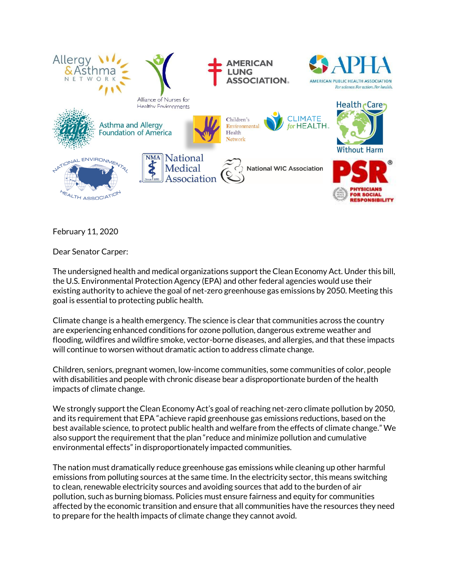

February 11, 2020

Dear Senator Carper:

The undersigned health and medical organizations support the Clean Economy Act. Under this bill, the U.S. Environmental Protection Agency (EPA) and other federal agencies would use their existing authority to achieve the goal of net-zero greenhouse gas emissions by 2050. Meeting this goal is essential to protecting public health.

Climate change is a health emergency. The science is clear that communities across the country are experiencing enhanced conditions for ozone pollution, dangerous extreme weather and flooding, wildfires and wildfire smoke, vector-borne diseases, and allergies, and that these impacts will continue to worsen without dramatic action to address climate change.

Children, seniors, pregnant women, low-income communities, some communities of color, people with disabilities and people with chronic disease bear a disproportionate burden of the health impacts of climate change.

We strongly support the Clean Economy Act's goal of reaching net-zero climate pollution by 2050, and its requirement that EPA "achieve rapid greenhouse gas emissions reductions, based on the best available science, to protect public health and welfare from the effects of climate change." We also support the requirement that the plan "reduce and minimize pollution and cumulative environmental effects" in disproportionately impacted communities.

The nation must dramatically reduce greenhouse gas emissions while cleaning up other harmful emissions from polluting sources at the same time. In the electricity sector, this means switching to clean, renewable electricity sources and avoiding sources that add to the burden of air pollution, such as burning biomass. Policies must ensure fairness and equity for communities affected by the economic transition and ensure that all communities have the resources they need to prepare for the health impacts of climate change they cannot avoid.